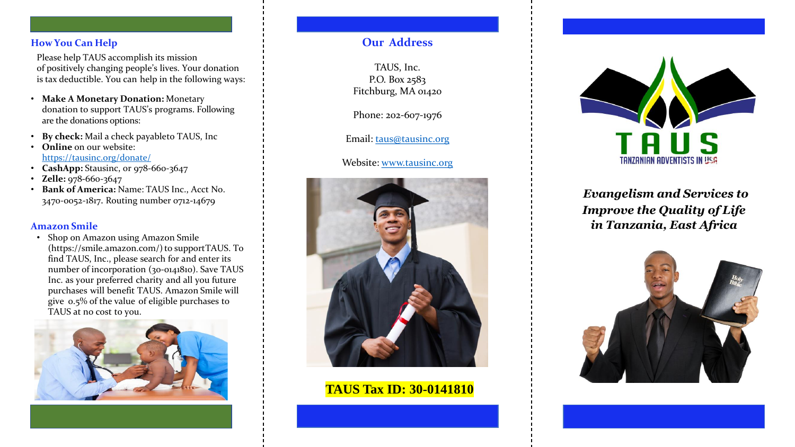### **How You Can Help**

Please help TAUS accomplish its mission of positively changing people's lives. Your donation is tax deductible. You can help in the following ways:

- **Make A Monetary Donation:** Monetary donation to support TAUS's programs. Following are the donations options:
- **By check:** Mail a check payableto TAUS, Inc
- **Online** on our website: <https://tausinc.org/donate/>
- **CashApp:** Stausinc, or 978-660-3647
- **Zelle:** 978**-**660-3647
- **Bank of America:** Name: TAUS Inc., Acct No. 3470-0052-1817. Routing number 0712**-**14679

## **Amazon Smile**

• Shop on Amazon using Amazon Smile (https://smile.amazon.com/) to supportTAUS. To find TAUS, Inc., please search for and enter its number of incorporation (30-0141810). Save TAUS Inc. as your preferred charity and all you future purchases will benefit TAUS. Amazon Smile will give 0.5% of the value of eligible purchases to TAUS at no cost to you.



## **Our Address**

TAUS, Inc. P.O. Box 2583 Fitchburg, MA 01420

Phone: 202-607-1976

Email: [taus@tausinc.org](mailto:taus@tausinc.org)

## Website: [www.tausinc.org](http://www.tausinc.org/)



## **TAUS Tax ID: 30-0141810**



# *Evangelism and Services to Improve the Quality of Life in Tanzania, East Africa*